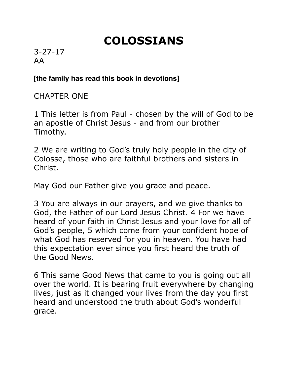## **COLOSSIANS**

3-27-17 AA

## **[the family has read this book in devotions]**

CHAPTER ONE

1 This letter is from Paul - chosen by the will of God to be an apostle of Christ Jesus - and from our brother Timothy.

2 We are writing to God's truly holy people in the city of Colosse, those who are faithful brothers and sisters in Christ.

May God our Father give you grace and peace.

3 You are always in our prayers, and we give thanks to God, the Father of our Lord Jesus Christ. 4 For we have heard of your faith in Christ Jesus and your love for all of God's people, 5 which come from your confident hope of what God has reserved for you in heaven. You have had this expectation ever since you first heard the truth of the Good News.

6 This same Good News that came to you is going out all over the world. It is bearing fruit everywhere by changing lives, just as it changed your lives from the day you first heard and understood the truth about God's wonderful grace.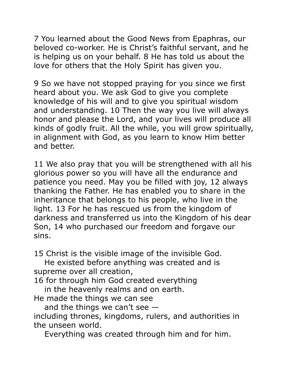7 You learned about the Good News from Epaphras, our beloved co-worker. He is Christ's faithful servant, and he is helping us on your behalf. 8 He has told us about the love for others that the Holy Spirit has given you.

9 So we have not stopped praying for you since we first heard about you. We ask God to give you complete knowledge of his will and to give you spiritual wisdom and understanding. 10 Then the way you live will always honor and please the Lord, and your lives will produce all kinds of godly fruit. All the while, you will grow spiritually, in alignment with God, as you learn to know Him better and better.

11 We also pray that you will be strengthened with all his glorious power so you will have all the endurance and patience you need. May you be filled with joy, 12 always thanking the Father. He has enabled you to share in the inheritance that belongs to his people, who live in the light. 13 For he has rescued us from the kingdom of darkness and transferred us into the Kingdom of his dear Son, 14 who purchased our freedom and forgave our sins.

15 Christ is the visible image of the invisible God.

 He existed before anything was created and is supreme over all creation,

16 for through him God created everything

in the heavenly realms and on earth.

He made the things we can see

and the things we can't see  $-$ 

including thrones, kingdoms, rulers, and authorities in the unseen world.

Everything was created through him and for him.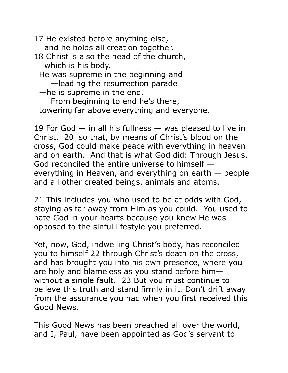17 He existed before anything else, and he holds all creation together. 18 Christ is also the head of the church, which is his body. He was supreme in the beginning and —leading the resurrection parade —he is supreme in the end. From beginning to end he's there, towering far above everything and everyone.

19 For God  $-$  in all his fullness  $-$  was pleased to live in Christ, 20 so that, by means of Christ's blood on the cross, God could make peace with everything in heaven and on earth. And that is what God did: Through Jesus, God reconciled the entire universe to himself everything in Heaven, and everything on earth — people and all other created beings, animals and atoms.

21 This includes you who used to be at odds with God, staying as far away from Him as you could. You used to hate God in your hearts because you knew He was opposed to the sinful lifestyle you preferred.

Yet, now, God, indwelling Christ's body, has reconciled you to himself 22 through Christ's death on the cross, and has brought you into his own presence, where you are holy and blameless as you stand before him without a single fault. 23 But you must continue to believe this truth and stand firmly in it. Don't drift away from the assurance you had when you first received this Good News.

This Good News has been preached all over the world, and I, Paul, have been appointed as God's servant to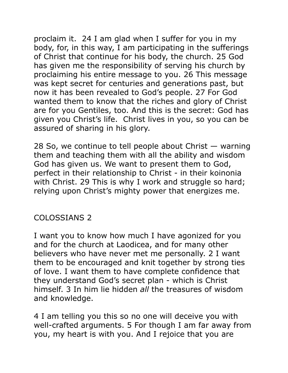proclaim it. 24 I am glad when I suffer for you in my body, for, in this way, I am participating in the sufferings of Christ that continue for his body, the church. 25 God has given me the responsibility of serving his church by proclaiming his entire message to you. 26 This message was kept secret for centuries and generations past, but now it has been revealed to God's people. 27 For God wanted them to know that the riches and glory of Christ are for you Gentiles, too. And this is the secret: God has given you Christ's life. Christ lives in you, so you can be assured of sharing in his glory.

28 So, we continue to tell people about Christ — warning them and teaching them with all the ability and wisdom God has given us. We want to present them to God, perfect in their relationship to Christ - in their koinonia with Christ. 29 This is why I work and struggle so hard; relying upon Christ's mighty power that energizes me.

## COLOSSIANS 2

I want you to know how much I have agonized for you and for the church at Laodicea, and for many other believers who have never met me personally. 2 I want them to be encouraged and knit together by strong ties of love. I want them to have complete confidence that they understand God's secret plan - which is Christ himself. 3 In him lie hidden *all* the treasures of wisdom and knowledge.

4 I am telling you this so no one will deceive you with well-crafted arguments. 5 For though I am far away from you, my heart is with you. And I rejoice that you are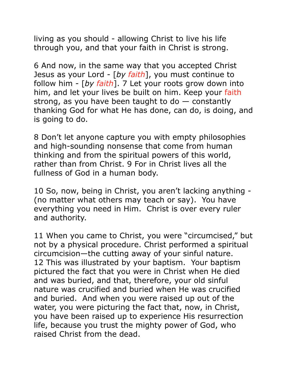living as you should - allowing Christ to live his life through you, and that your faith in Christ is strong.

6 And now, in the same way that you accepted Christ Jesus as your Lord - [*by faith*], you must continue to follow him - [*by faith*]. 7 Let your roots grow down into him, and let your lives be built on him. Keep your faith strong, as you have been taught to  $d\sigma$  – constantly thanking God for what He has done, can do, is doing, and is going to do.

8 Don't let anyone capture you with empty philosophies and high-sounding nonsense that come from human thinking and from the spiritual powers of this world, rather than from Christ. 9 For in Christ lives all the fullness of God in a human body.

10 So, now, being in Christ, you aren't lacking anything - (no matter what others may teach or say). You have everything you need in Him. Christ is over every ruler and authority.

11 When you came to Christ, you were "circumcised," but not by a physical procedure. Christ performed a spiritual circumcision—the cutting away of your sinful nature. 12 This was illustrated by your baptism. Your baptism pictured the fact that you were in Christ when He died and was buried, and that, therefore, your old sinful nature was crucified and buried when He was crucified and buried. And when you were raised up out of the water, you were picturing the fact that, now, in Christ, you have been raised up to experience His resurrection life, because you trust the mighty power of God, who raised Christ from the dead.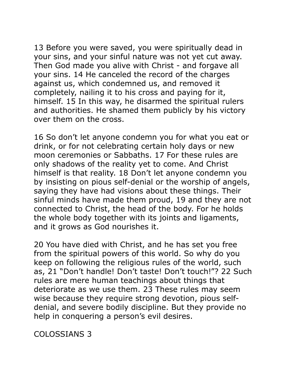13 Before you were saved, you were spiritually dead in your sins, and your sinful nature was not yet cut away. Then God made you alive with Christ - and forgave all your sins. 14 He canceled the record of the charges against us, which condemned us, and removed it completely, nailing it to his cross and paying for it, himself. 15 In this way, he disarmed the spiritual rulers and authorities. He shamed them publicly by his victory over them on the cross.

16 So don't let anyone condemn you for what you eat or drink, or for not celebrating certain holy days or new moon ceremonies or Sabbaths. 17 For these rules are only shadows of the reality yet to come. And Christ himself is that reality. 18 Don't let anyone condemn you by insisting on pious self-denial or the worship of angels, saying they have had visions about these things. Their sinful minds have made them proud, 19 and they are not connected to Christ, the head of the body. For he holds the whole body together with its joints and ligaments, and it grows as God nourishes it.

20 You have died with Christ, and he has set you free from the spiritual powers of this world. So why do you keep on following the religious rules of the world, such as, 21 "Don't handle! Don't taste! Don't touch!"? 22 Such rules are mere human teachings about things that deteriorate as we use them. 23 These rules may seem wise because they require strong devotion, pious selfdenial, and severe bodily discipline. But they provide no help in conquering a person's evil desires.

COLOSSIANS 3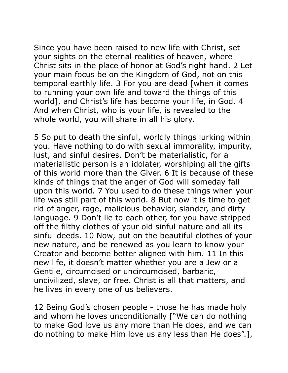Since you have been raised to new life with Christ, set your sights on the eternal realities of heaven, where Christ sits in the place of honor at God's right hand. 2 Let your main focus be on the Kingdom of God, not on this temporal earthly life. 3 For you are dead [when it comes to running your own life and toward the things of this world], and Christ's life has become your life, in God. 4 And when Christ, who is your life, is revealed to the whole world, you will share in all his glory.

5 So put to death the sinful, worldly things lurking within you. Have nothing to do with sexual immorality, impurity, lust, and sinful desires. Don't be materialistic, for a materialistic person is an idolater, worshiping all the gifts of this world more than the Giver. 6 It is because of these kinds of things that the anger of God will someday fall upon this world. 7 You used to do these things when your life was still part of this world. 8 But now it is time to get rid of anger, rage, malicious behavior, slander, and dirty language. 9 Don't lie to each other, for you have stripped off the filthy clothes of your old sinful nature and all its sinful deeds. 10 Now, put on the beautiful clothes of your new nature, and be renewed as you learn to know your Creator and become better aligned with him. 11 In this new life, it doesn't matter whether you are a Jew or a Gentile, circumcised or uncircumcised, barbaric, uncivilized, slave, or free. Christ is all that matters, and he lives in every one of us believers.

12 Being God's chosen people - those he has made holy and whom he loves unconditionally ["We can do nothing to make God love us any more than He does, and we can do nothing to make Him love us any less than He does".],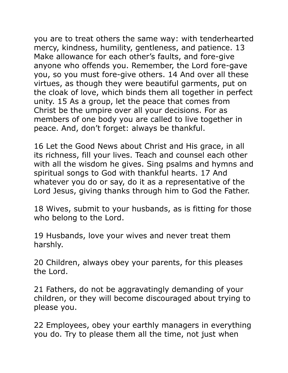you are to treat others the same way: with tenderhearted mercy, kindness, humility, gentleness, and patience. 13 Make allowance for each other's faults, and fore-give anyone who offends you. Remember, the Lord fore-gave you, so you must fore-give others. 14 And over all these virtues, as though they were beautiful garments, put on the cloak of love, which binds them all together in perfect unity. 15 As a group, let the peace that comes from Christ be the umpire over all your decisions. For as members of one body you are called to live together in peace. And, don't forget: always be thankful.

16 Let the Good News about Christ and His grace, in all its richness, fill your lives. Teach and counsel each other with all the wisdom he gives. Sing psalms and hymns and spiritual songs to God with thankful hearts. 17 And whatever you do or say, do it as a representative of the Lord Jesus, giving thanks through him to God the Father.

18 Wives, submit to your husbands, as is fitting for those who belong to the Lord.

19 Husbands, love your wives and never treat them harshly.

20 Children, always obey your parents, for this pleases the Lord.

21 Fathers, do not be aggravatingly demanding of your children, or they will become discouraged about trying to please you.

22 Employees, obey your earthly managers in everything you do. Try to please them all the time, not just when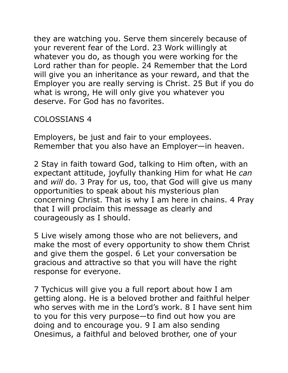they are watching you. Serve them sincerely because of your reverent fear of the Lord. 23 Work willingly at whatever you do, as though you were working for the Lord rather than for people. 24 Remember that the Lord will give you an inheritance as your reward, and that the Employer you are really serving is Christ. 25 But if you do what is wrong, He will only give you whatever you deserve. For God has no favorites.

## COLOSSIANS 4

Employers, be just and fair to your employees. Remember that you also have an Employer—in heaven.

2 Stay in faith toward God, talking to Him often, with an expectant attitude, joyfully thanking Him for what He *can*  and *will* do. 3 Pray for us, too, that God will give us many opportunities to speak about his mysterious plan concerning Christ. That is why I am here in chains. 4 Pray that I will proclaim this message as clearly and courageously as I should.

5 Live wisely among those who are not believers, and make the most of every opportunity to show them Christ and give them the gospel. 6 Let your conversation be gracious and attractive so that you will have the right response for everyone.

7 Tychicus will give you a full report about how I am getting along. He is a beloved brother and faithful helper who serves with me in the Lord's work. 8 I have sent him to you for this very purpose—to find out how you are doing and to encourage you. 9 I am also sending Onesimus, a faithful and beloved brother, one of your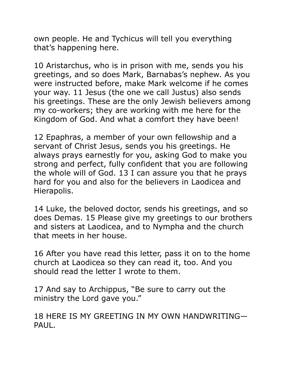own people. He and Tychicus will tell you everything that's happening here.

10 Aristarchus, who is in prison with me, sends you his greetings, and so does Mark, Barnabas's nephew. As you were instructed before, make Mark welcome if he comes your way. 11 Jesus (the one we call Justus) also sends his greetings. These are the only Jewish believers among my co-workers; they are working with me here for the Kingdom of God. And what a comfort they have been!

12 Epaphras, a member of your own fellowship and a servant of Christ Jesus, sends you his greetings. He always prays earnestly for you, asking God to make you strong and perfect, fully confident that you are following the whole will of God. 13 I can assure you that he prays hard for you and also for the believers in Laodicea and Hierapolis.

14 Luke, the beloved doctor, sends his greetings, and so does Demas. 15 Please give my greetings to our brothers and sisters at Laodicea, and to Nympha and the church that meets in her house.

16 After you have read this letter, pass it on to the home church at Laodicea so they can read it, too. And you should read the letter I wrote to them.

17 And say to Archippus, "Be sure to carry out the ministry the Lord gave you."

18 HERE IS MY GREETING IN MY OWN HANDWRITING— PAUL.